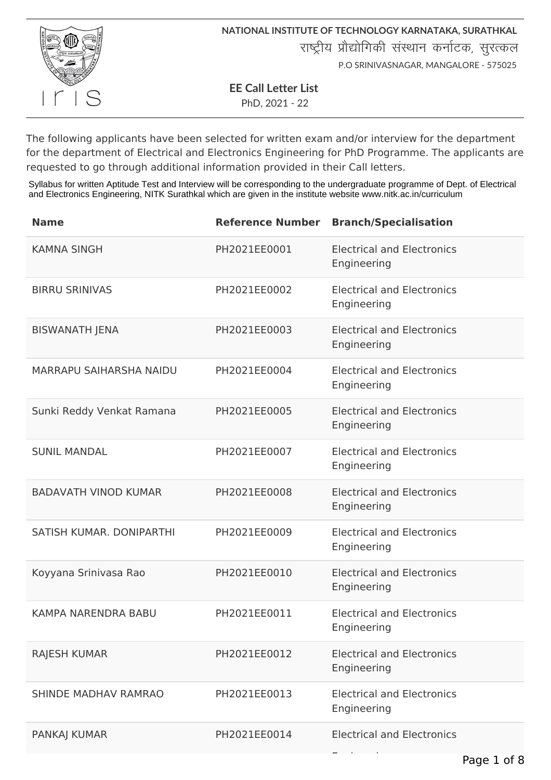

**EE Call Letter List**

PhD, 2021 - 22

The following applicants have been selected for written exam and/or interview for the department for the department of Electrical and Electronics Engineering for PhD Programme. The applicants are requested to go through additional information provided in their Call letters.

Syllabus for written Aptitude Test and Interview will be corresponding to the undergraduate programme of Dept. of Electrical and Electronics Engineering, NITK Surathkal which are given in the institute website www.nitk.ac.in/curriculum

| <b>Name</b>                    | <b>Reference Number</b> | <b>Branch/Specialisation</b>                     |
|--------------------------------|-------------------------|--------------------------------------------------|
| <b>KAMNA SINGH</b>             | PH2021EE0001            | <b>Electrical and Electronics</b><br>Engineering |
| <b>BIRRU SRINIVAS</b>          | PH2021EE0002            | <b>Electrical and Electronics</b><br>Engineering |
| <b>BISWANATH JENA</b>          | PH2021EE0003            | <b>Electrical and Electronics</b><br>Engineering |
| <b>MARRAPU SAIHARSHA NAIDU</b> | PH2021EE0004            | <b>Electrical and Electronics</b><br>Engineering |
| Sunki Reddy Venkat Ramana      | PH2021EE0005            | <b>Electrical and Electronics</b><br>Engineering |
| <b>SUNIL MANDAL</b>            | PH2021EE0007            | <b>Electrical and Electronics</b><br>Engineering |
| <b>BADAVATH VINOD KUMAR</b>    | PH2021EE0008            | <b>Electrical and Electronics</b><br>Engineering |
| SATISH KUMAR. DONIPARTHI       | PH2021EE0009            | <b>Electrical and Electronics</b><br>Engineering |
| Koyyana Srinivasa Rao          | PH2021EE0010            | <b>Electrical and Electronics</b><br>Engineering |
| <b>KAMPA NARENDRA BABU</b>     | PH2021EE0011            | <b>Electrical and Electronics</b><br>Engineering |
| <b>RAJESH KUMAR</b>            | PH2021EE0012            | <b>Electrical and Electronics</b><br>Engineering |
| SHINDE MADHAV RAMRAO           | PH2021EE0013            | <b>Electrical and Electronics</b><br>Engineering |
| <b>PANKAJ KUMAR</b>            | PH2021EE0014            | <b>Electrical and Electronics</b>                |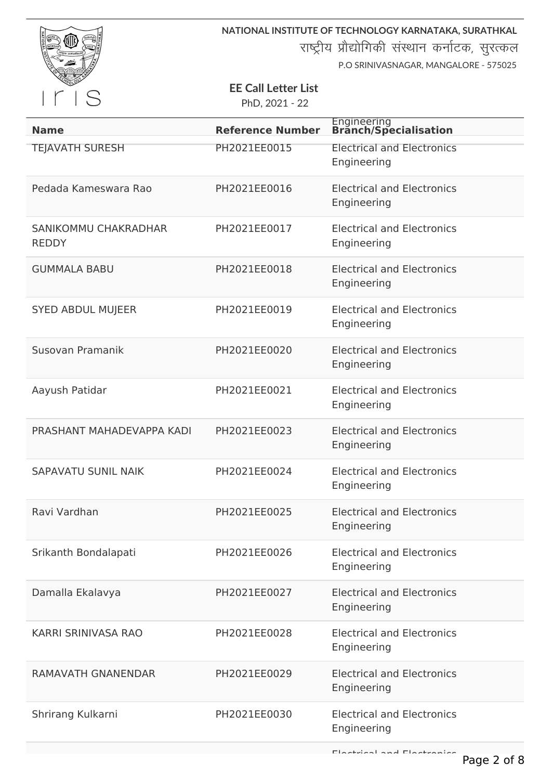

राष्ट्रीय प्रौद्योगिकी संस्थान कर्नाटक, सुरत्कल

P.O SRINIVASNAGAR, MANGALORE - 575025

# **EE Call Letter List**

| <b>Name</b>                          | <b>Reference Number</b> | Engineering<br><b>Branch/Specialisation</b>      |
|--------------------------------------|-------------------------|--------------------------------------------------|
| <b>TEJAVATH SURESH</b>               | PH2021EE0015            | <b>Electrical and Electronics</b><br>Engineering |
| Pedada Kameswara Rao                 | PH2021EE0016            | <b>Electrical and Electronics</b><br>Engineering |
| SANIKOMMU CHAKRADHAR<br><b>REDDY</b> | PH2021EE0017            | <b>Electrical and Electronics</b><br>Engineering |
| <b>GUMMALA BABU</b>                  | PH2021EE0018            | <b>Electrical and Electronics</b><br>Engineering |
| <b>SYED ABDUL MUJEER</b>             | PH2021EE0019            | <b>Electrical and Electronics</b><br>Engineering |
| Susovan Pramanik                     | PH2021EE0020            | <b>Electrical and Electronics</b><br>Engineering |
| Aayush Patidar                       | PH2021EE0021            | <b>Electrical and Electronics</b><br>Engineering |
| PRASHANT MAHADEVAPPA KADI            | PH2021EE0023            | <b>Electrical and Electronics</b><br>Engineering |
| <b>SAPAVATU SUNIL NAIK</b>           | PH2021EE0024            | <b>Electrical and Electronics</b><br>Engineering |
| Ravi Vardhan                         | PH2021EE0025            | <b>Electrical and Electronics</b><br>Engineering |
| Srikanth Bondalapati                 | PH2021EE0026            | <b>Electrical and Electronics</b><br>Engineering |
| Damalla Ekalavya                     | PH2021EE0027            | <b>Electrical and Electronics</b><br>Engineering |
| KARRI SRINIVASA RAO                  | PH2021EE0028            | <b>Electrical and Electronics</b><br>Engineering |
| <b>RAMAVATH GNANENDAR</b>            | PH2021EE0029            | <b>Electrical and Electronics</b><br>Engineering |
| Shrirang Kulkarni                    | PH2021EE0030            | <b>Electrical and Electronics</b><br>Engineering |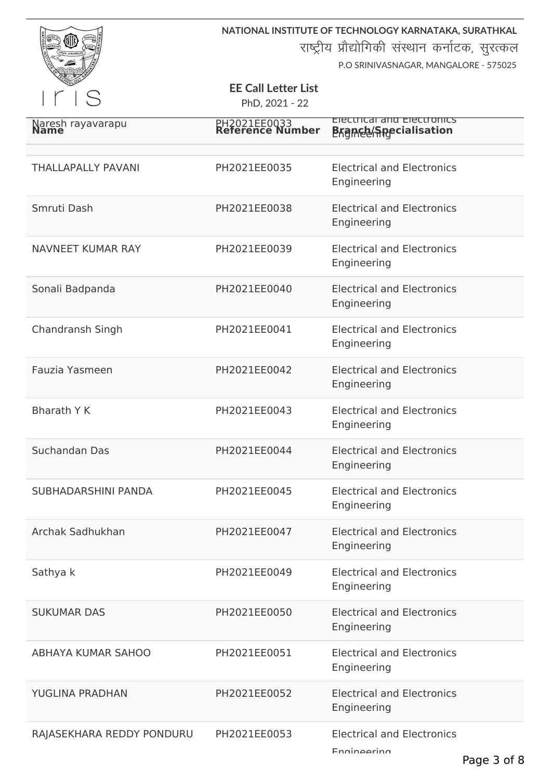

राष्ट्रीय प्रौद्योगिकी संस्थान कर्नाटक, सुरत्कल

P.O SRINIVASNAGAR, MANGALORE - 575025

# **EE Call Letter List**

| Naresh rayavarapu          | PH2021EE0033<br>Reference Number | Electrical and Electronics<br><b>Branch Apecialisation</b> |
|----------------------------|----------------------------------|------------------------------------------------------------|
| <b>THALLAPALLY PAVANI</b>  | PH2021EE0035                     | <b>Electrical and Electronics</b><br>Engineering           |
| Smruti Dash                | PH2021EE0038                     | <b>Electrical and Electronics</b><br>Engineering           |
| NAVNEET KUMAR RAY          | PH2021EE0039                     | <b>Electrical and Electronics</b><br>Engineering           |
| Sonali Badpanda            | PH2021EE0040                     | <b>Electrical and Electronics</b><br>Engineering           |
| Chandransh Singh           | PH2021EE0041                     | <b>Electrical and Electronics</b><br>Engineering           |
| Fauzia Yasmeen             | PH2021EE0042                     | <b>Electrical and Electronics</b><br>Engineering           |
| <b>Bharath Y K</b>         | PH2021EE0043                     | <b>Electrical and Electronics</b><br>Engineering           |
| Suchandan Das              | PH2021EE0044                     | <b>Electrical and Electronics</b><br>Engineering           |
| <b>SUBHADARSHINI PANDA</b> | PH2021EE0045                     | <b>Electrical and Electronics</b><br>Engineering           |
| Archak Sadhukhan           | PH2021EE0047                     | <b>Electrical and Electronics</b><br>Engineering           |
| Sathya k                   | PH2021EE0049                     | <b>Electrical and Electronics</b><br>Engineering           |
| <b>SUKUMAR DAS</b>         | PH2021EE0050                     | <b>Electrical and Electronics</b><br>Engineering           |
| <b>ABHAYA KUMAR SAHOO</b>  | PH2021EE0051                     | <b>Electrical and Electronics</b><br>Engineering           |
| <b>YUGLINA PRADHAN</b>     | PH2021EE0052                     | <b>Electrical and Electronics</b><br>Engineering           |
| RAJASEKHARA REDDY PONDURU  | PH2021EE0053                     | <b>Electrical and Electronics</b><br>Engineering           |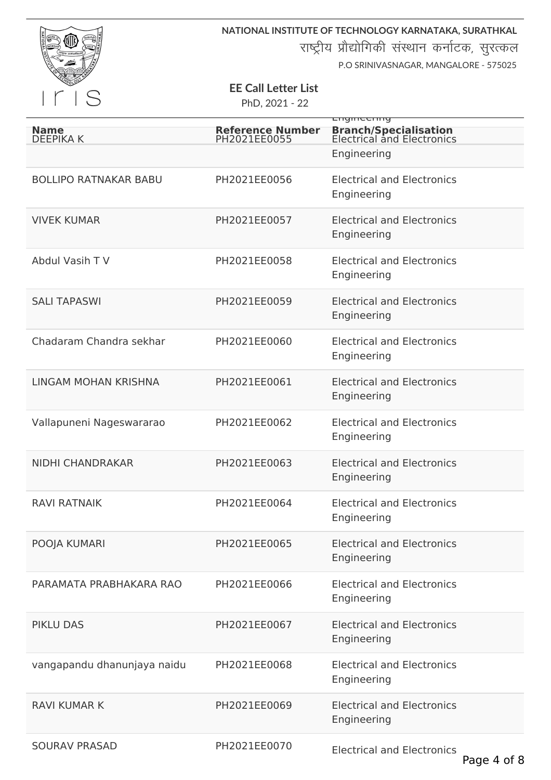

राष्ट्रीय प्रौद्योगिकी संस्थान कर्नाटक, सुरत्कल

P.O SRINIVASNAGAR, MANGALORE - 575025

## **EE Call Letter List**

|                                 |                                         | Engineering                                                |
|---------------------------------|-----------------------------------------|------------------------------------------------------------|
| <b>Name</b><br><b>DEEPIKA K</b> | <b>Reference Number</b><br>PH2021EE0055 | <b>Branch/Specialisation</b><br>Electrical and Electronics |
|                                 |                                         | Engineering                                                |
| <b>BOLLIPO RATNAKAR BABU</b>    | PH2021EE0056                            | <b>Electrical and Electronics</b>                          |
|                                 |                                         | Engineering                                                |
| <b>VIVEK KUMAR</b>              | PH2021EE0057                            | <b>Electrical and Electronics</b><br>Engineering           |
|                                 |                                         |                                                            |
| Abdul Vasih TV                  | PH2021EE0058                            | <b>Electrical and Electronics</b><br>Engineering           |
| <b>SALI TAPASWI</b>             | PH2021EE0059                            | <b>Electrical and Electronics</b>                          |
|                                 |                                         | Engineering                                                |
| Chadaram Chandra sekhar         | PH2021EE0060                            | <b>Electrical and Electronics</b><br>Engineering           |
| <b>LINGAM MOHAN KRISHNA</b>     | PH2021EE0061                            | <b>Electrical and Electronics</b>                          |
|                                 |                                         | Engineering                                                |
| Vallapuneni Nageswararao        | PH2021EE0062                            | <b>Electrical and Electronics</b>                          |
|                                 |                                         | Engineering                                                |
| <b>NIDHI CHANDRAKAR</b>         | PH2021EE0063                            | <b>Electrical and Electronics</b><br>Engineering           |
| <b>RAVI RATNAIK</b>             | PH2021EE0064                            | <b>Electrical and Electronics</b>                          |
|                                 |                                         | Engineering                                                |
| POOJA KUMARI                    | PH2021EE0065                            | <b>Electrical and Electronics</b><br>Engineering           |
| PARAMATA PRABHAKARA RAO         | PH2021EE0066                            | <b>Electrical and Electronics</b>                          |
|                                 |                                         | Engineering                                                |
| <b>PIKLU DAS</b>                | PH2021EE0067                            | <b>Electrical and Electronics</b>                          |
|                                 |                                         | Engineering                                                |
| vangapandu dhanunjaya naidu     | PH2021EE0068                            | <b>Electrical and Electronics</b><br>Engineering           |
| <b>RAVI KUMAR K</b>             | PH2021EE0069                            | <b>Electrical and Electronics</b>                          |
|                                 |                                         | Engineering                                                |
| <b>SOURAV PRASAD</b>            | PH2021EE0070                            | <b>Electrical and Electronics</b>                          |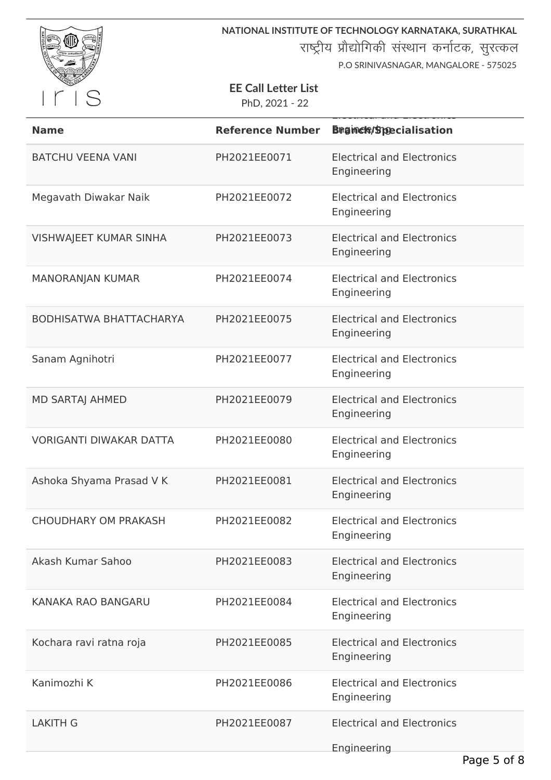

राष्ट्रीय प्रौद्योगिकी संस्थान कर्नाटक, सुरत्कल

P.O SRINIVASNAGAR, MANGALORE - 575025

### **EE Call Letter List**

| <b>Name</b>                    | <b>Reference Number</b> | <b>Brgmele/Specialisation</b>                    |
|--------------------------------|-------------------------|--------------------------------------------------|
| <b>BATCHU VEENA VANI</b>       | PH2021EE0071            | <b>Electrical and Electronics</b><br>Engineering |
| Megavath Diwakar Naik          | PH2021EE0072            | <b>Electrical and Electronics</b><br>Engineering |
| <b>VISHWAJEET KUMAR SINHA</b>  | PH2021EE0073            | <b>Electrical and Electronics</b><br>Engineering |
| <b>MANORANJAN KUMAR</b>        | PH2021EE0074            | <b>Electrical and Electronics</b><br>Engineering |
| <b>BODHISATWA BHATTACHARYA</b> | PH2021EE0075            | <b>Electrical and Electronics</b><br>Engineering |
| Sanam Agnihotri                | PH2021EE0077            | <b>Electrical and Electronics</b><br>Engineering |
| <b>MD SARTAJ AHMED</b>         | PH2021EE0079            | <b>Electrical and Electronics</b><br>Engineering |
| <b>VORIGANTI DIWAKAR DATTA</b> | PH2021EE0080            | <b>Electrical and Electronics</b><br>Engineering |
| Ashoka Shyama Prasad V K       | PH2021EE0081            | <b>Electrical and Electronics</b><br>Engineering |
| <b>CHOUDHARY OM PRAKASH</b>    | PH2021EE0082            | <b>Electrical and Electronics</b><br>Engineering |
| Akash Kumar Sahoo              | PH2021EE0083            | <b>Electrical and Electronics</b><br>Engineering |
| KANAKA RAO BANGARU             | PH2021EE0084            | <b>Electrical and Electronics</b><br>Engineering |
| Kochara ravi ratna roja        | PH2021EE0085            | <b>Electrical and Electronics</b><br>Engineering |
| Kanimozhi K                    | PH2021EE0086            | <b>Electrical and Electronics</b><br>Engineering |
| <b>LAKITH G</b>                | PH2021EE0087            | <b>Electrical and Electronics</b><br>Engineering |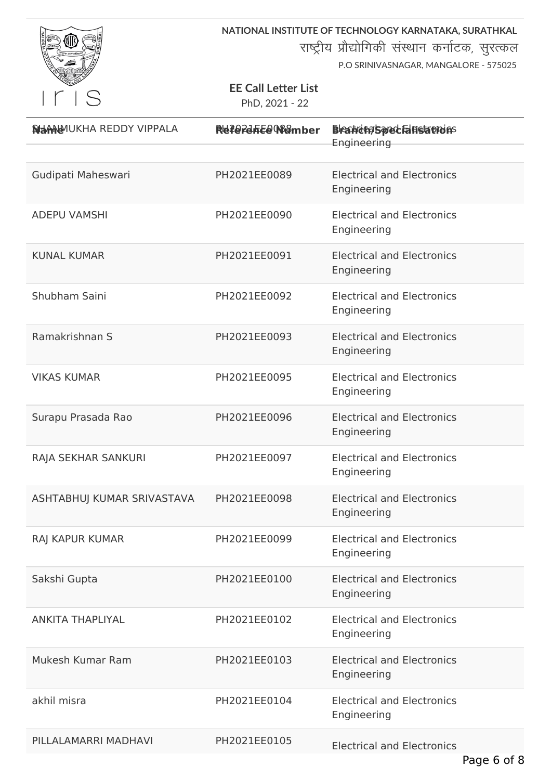

राष्ट्रीय प्रौद्योगिकी संस्थान कर्नाटक, सुरत्कल

P.O SRINIVASNAGAR, MANGALORE - 575025

## **EE Call Letter List**

| <b>NHANANUKHA REDDY VIPPALA</b> | Referente@Womber | <b>Bleanding Spred Fallistations</b><br>Engineering |
|---------------------------------|------------------|-----------------------------------------------------|
|                                 |                  |                                                     |
| Gudipati Maheswari              | PH2021EE0089     | <b>Electrical and Electronics</b><br>Engineering    |
| <b>ADEPU VAMSHI</b>             | PH2021EE0090     | <b>Electrical and Electronics</b><br>Engineering    |
| <b>KUNAL KUMAR</b>              | PH2021EE0091     | <b>Electrical and Electronics</b><br>Engineering    |
| Shubham Saini                   | PH2021EE0092     | <b>Electrical and Electronics</b><br>Engineering    |
| Ramakrishnan S                  | PH2021EE0093     | <b>Electrical and Electronics</b><br>Engineering    |
| <b>VIKAS KUMAR</b>              | PH2021EE0095     | <b>Electrical and Electronics</b><br>Engineering    |
| Surapu Prasada Rao              | PH2021EE0096     | <b>Electrical and Electronics</b><br>Engineering    |
| RAJA SEKHAR SANKURI             | PH2021EE0097     | <b>Electrical and Electronics</b><br>Engineering    |
| ASHTABHUJ KUMAR SRIVASTAVA      | PH2021EE0098     | <b>Electrical and Electronics</b><br>Engineering    |
| RAJ KAPUR KUMAR                 | PH2021EE0099     | <b>Electrical and Electronics</b><br>Engineering    |
| Sakshi Gupta                    | PH2021EE0100     | <b>Electrical and Electronics</b><br>Engineering    |
| <b>ANKITA THAPLIYAL</b>         | PH2021EE0102     | <b>Electrical and Electronics</b><br>Engineering    |
| Mukesh Kumar Ram                | PH2021EE0103     | <b>Electrical and Electronics</b><br>Engineering    |
| akhil misra                     | PH2021EE0104     | <b>Electrical and Electronics</b><br>Engineering    |
| PILLALAMARRI MADHAVI            | PH2021EE0105     | <b>Electrical and Electronics</b>                   |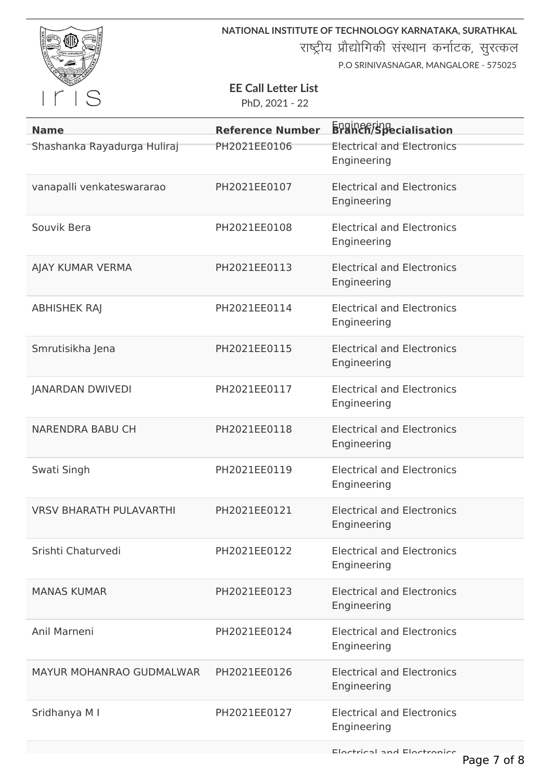

राष्ट्रीय प्रौद्योगिकी संस्थान कर्नाटक, सुरत्कल

P.O SRINIVASNAGAR, MANGALORE - 575025

# **EE Call Letter List**

PhD, 2021 - 22

| <b>Name</b>                     | <b>Reference Number</b> | <b>Branch/Specialisation</b>                     |
|---------------------------------|-------------------------|--------------------------------------------------|
| Shashanka Rayadurga Huliraj     | PH2021EE0106            | <b>Electrical and Electronics</b><br>Engineering |
| vanapalli venkateswararao       | PH2021EE0107            | <b>Electrical and Electronics</b><br>Engineering |
| Souvik Bera                     | PH2021EE0108            | <b>Electrical and Electronics</b><br>Engineering |
| AJAY KUMAR VERMA                | PH2021EE0113            | <b>Electrical and Electronics</b><br>Engineering |
| <b>ABHISHEK RAJ</b>             | PH2021EE0114            | <b>Electrical and Electronics</b><br>Engineering |
| Smrutisikha Jena                | PH2021EE0115            | <b>Electrical and Electronics</b><br>Engineering |
| <b>JANARDAN DWIVEDI</b>         | PH2021EE0117            | <b>Electrical and Electronics</b><br>Engineering |
| <b>NARENDRA BABU CH</b>         | PH2021EE0118            | <b>Electrical and Electronics</b><br>Engineering |
| Swati Singh                     | PH2021EE0119            | <b>Electrical and Electronics</b><br>Engineering |
| <b>VRSV BHARATH PULAVARTHI</b>  | PH2021EE0121            | <b>Electrical and Electronics</b><br>Engineering |
| Srishti Chaturvedi              | PH2021EE0122            | <b>Electrical and Electronics</b><br>Engineering |
| <b>MANAS KUMAR</b>              | PH2021EE0123            | <b>Electrical and Electronics</b><br>Engineering |
| Anil Marneni                    | PH2021EE0124            | <b>Electrical and Electronics</b><br>Engineering |
| <b>MAYUR MOHANRAO GUDMALWAR</b> | PH2021EE0126            | <b>Electrical and Electronics</b><br>Engineering |
| Sridhanya M I                   | PH2021EE0127            | <b>Electrical and Electronics</b><br>Engineering |

Electrical and Electronics